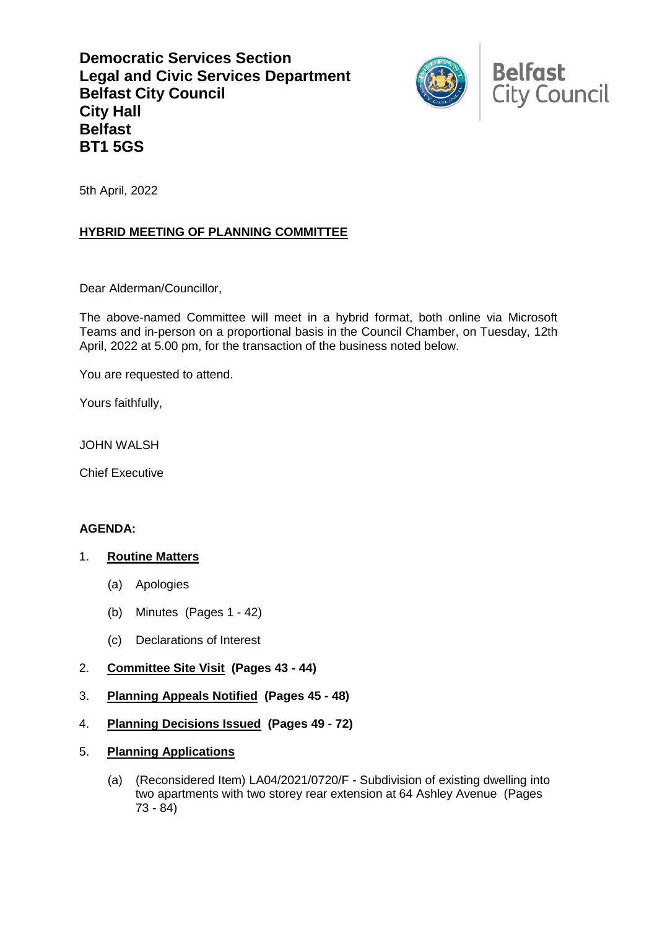**Democratic Services Section Legal and Civic Services Department Belfast City Council City Hall Belfast BT1 5GS**



5th April, 2022

## **HYBRID MEETING OF PLANNING COMMITTEE**

Dear Alderman/Councillor,

The above-named Committee will meet in a hybrid format, both online via Microsoft Teams and in-person on a proportional basis in the Council Chamber, on Tuesday, 12th April, 2022 at 5.00 pm, for the transaction of the business noted below.

You are requested to attend.

Yours faithfully,

JOHN WALSH

Chief Executive

## **AGENDA:**

## 1. **Routine Matters**

- (a) Apologies
- (b) Minutes (Pages 1 42)
- (c) Declarations of Interest
- 2. **Committee Site Visit (Pages 43 - 44)**
- 3. **Planning Appeals Notified (Pages 45 - 48)**
- 4. **Planning Decisions Issued (Pages 49 - 72)**
- 5. **Planning Applications** 
	- (a) (Reconsidered Item) LA04/2021/0720/F Subdivision of existing dwelling into two apartments with two storey rear extension at 64 Ashley Avenue (Pages 73 - 84)